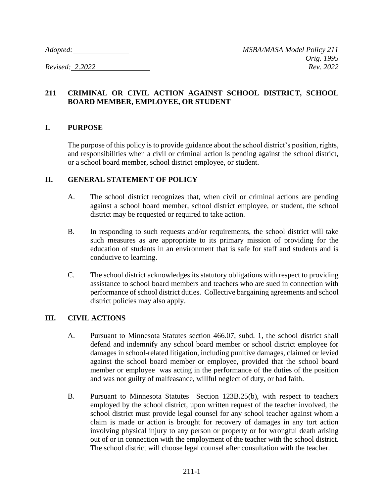## **211 CRIMINAL OR CIVIL ACTION AGAINST SCHOOL DISTRICT, SCHOOL BOARD MEMBER, EMPLOYEE, OR STUDENT**

### **I. PURPOSE**

The purpose of this policy is to provide guidance about the school district's position, rights, and responsibilities when a civil or criminal action is pending against the school district, or a school board member, school district employee, or student.

### **II. GENERAL STATEMENT OF POLICY**

- A. The school district recognizes that, when civil or criminal actions are pending against a school board member, school district employee, or student, the school district may be requested or required to take action.
- B. In responding to such requests and/or requirements, the school district will take such measures as are appropriate to its primary mission of providing for the education of students in an environment that is safe for staff and students and is conducive to learning.
- C. The school district acknowledges its statutory obligations with respect to providing assistance to school board members and teachers who are sued in connection with performance of school district duties. Collective bargaining agreements and school district policies may also apply.

### **III. CIVIL ACTIONS**

- A. Pursuant to Minnesota Statutes section 466.07, subd. 1, the school district shall defend and indemnify any school board member or school district employee for damages in school-related litigation, including punitive damages, claimed or levied against the school board member or employee, provided that the school board member or employee was acting in the performance of the duties of the position and was not guilty of malfeasance, willful neglect of duty, or bad faith.
- B. Pursuant to Minnesota Statutes Section 123B.25(b), with respect to teachers employed by the school district, upon written request of the teacher involved, the school district must provide legal counsel for any school teacher against whom a claim is made or action is brought for recovery of damages in any tort action involving physical injury to any person or property or for wrongful death arising out of or in connection with the employment of the teacher with the school district. The school district will choose legal counsel after consultation with the teacher.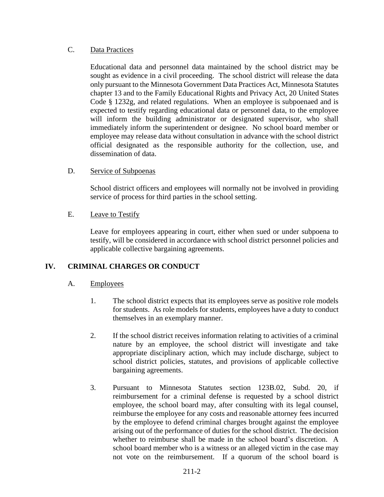# C. Data Practices

Educational data and personnel data maintained by the school district may be sought as evidence in a civil proceeding. The school district will release the data only pursuant to the Minnesota Government Data Practices Act, Minnesota Statutes chapter 13 and to the Family Educational Rights and Privacy Act, 20 United States Code § 1232g, and related regulations. When an employee is subpoenaed and is expected to testify regarding educational data or personnel data, to the employee will inform the building administrator or designated supervisor, who shall immediately inform the superintendent or designee. No school board member or employee may release data without consultation in advance with the school district official designated as the responsible authority for the collection, use, and dissemination of data.

# D. Service of Subpoenas

School district officers and employees will normally not be involved in providing service of process for third parties in the school setting.

### E. Leave to Testify

Leave for employees appearing in court, either when sued or under subpoena to testify, will be considered in accordance with school district personnel policies and applicable collective bargaining agreements.

# **IV. CRIMINAL CHARGES OR CONDUCT**

# A. Employees

- 1. The school district expects that its employees serve as positive role models for students. As role models for students, employees have a duty to conduct themselves in an exemplary manner.
- 2. If the school district receives information relating to activities of a criminal nature by an employee, the school district will investigate and take appropriate disciplinary action, which may include discharge, subject to school district policies, statutes, and provisions of applicable collective bargaining agreements.
- 3. Pursuant to Minnesota Statutes section 123B.02, Subd. 20, if reimbursement for a criminal defense is requested by a school district employee, the school board may, after consulting with its legal counsel, reimburse the employee for any costs and reasonable attorney fees incurred by the employee to defend criminal charges brought against the employee arising out of the performance of duties for the school district. The decision whether to reimburse shall be made in the school board's discretion. A school board member who is a witness or an alleged victim in the case may not vote on the reimbursement. If a quorum of the school board is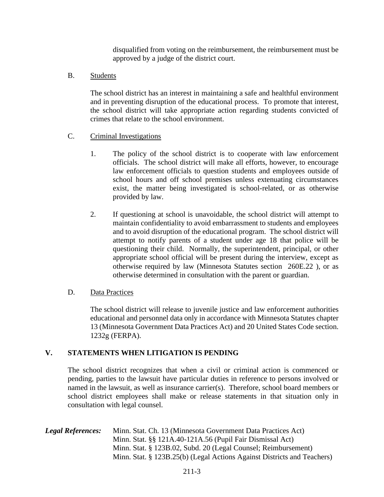disqualified from voting on the reimbursement, the reimbursement must be approved by a judge of the district court.

B. Students

The school district has an interest in maintaining a safe and healthful environment and in preventing disruption of the educational process. To promote that interest, the school district will take appropriate action regarding students convicted of crimes that relate to the school environment.

### C. Criminal Investigations

- 1. The policy of the school district is to cooperate with law enforcement officials. The school district will make all efforts, however, to encourage law enforcement officials to question students and employees outside of school hours and off school premises unless extenuating circumstances exist, the matter being investigated is school-related, or as otherwise provided by law.
- 2. If questioning at school is unavoidable, the school district will attempt to maintain confidentiality to avoid embarrassment to students and employees and to avoid disruption of the educational program. The school district will attempt to notify parents of a student under age 18 that police will be questioning their child. Normally, the superintendent, principal, or other appropriate school official will be present during the interview, except as otherwise required by law (Minnesota Statutes section 260E.22 ), or as otherwise determined in consultation with the parent or guardian.

### D. Data Practices

The school district will release to juvenile justice and law enforcement authorities educational and personnel data only in accordance with Minnesota Statutes chapter 13 (Minnesota Government Data Practices Act) and 20 United States Code section. 1232g (FERPA).

### **V. STATEMENTS WHEN LITIGATION IS PENDING**

The school district recognizes that when a civil or criminal action is commenced or pending, parties to the lawsuit have particular duties in reference to persons involved or named in the lawsuit, as well as insurance carrier(s). Therefore, school board members or school district employees shall make or release statements in that situation only in consultation with legal counsel.

*Legal References:* Minn. Stat. Ch. 13 (Minnesota Government Data Practices Act) Minn. Stat. §§ 121A.40-121A.56 (Pupil Fair Dismissal Act) Minn. Stat. § 123B.02, Subd. 20 (Legal Counsel; Reimbursement) Minn. Stat. § 123B.25(b) (Legal Actions Against Districts and Teachers)